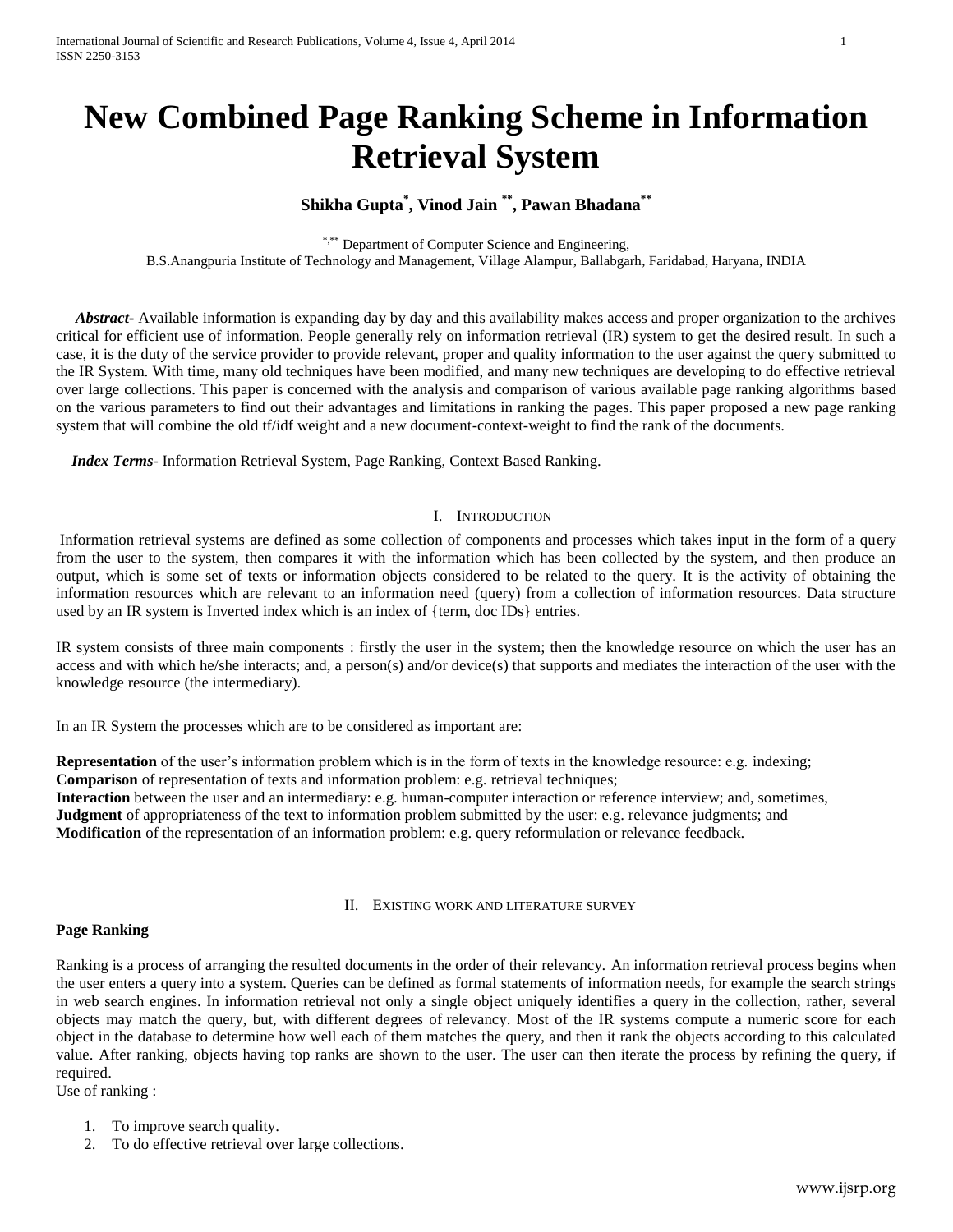# **New Combined Page Ranking Scheme in Information Retrieval System**

## **Shikha Gupta\* , Vinod Jain \*\* , Pawan Bhadana\*\***

\*,\*\*\* Department of Computer Science and Engineering,

B.S.Anangpuria Institute of Technology and Management, Village Alampur, Ballabgarh, Faridabad, Haryana, INDIA

 *Abstract***-** Available information is expanding day by day and this availability makes access and proper organization to the archives critical for efficient use of information. People generally rely on information retrieval (IR) system to get the desired result. In such a case, it is the duty of the service provider to provide relevant, proper and quality information to the user against the query submitted to the IR System. With time, many old techniques have been modified, and many new techniques are developing to do effective retrieval over large collections. This paper is concerned with the analysis and comparison of various available page ranking algorithms based on the various parameters to find out their advantages and limitations in ranking the pages. This paper proposed a new page ranking system that will combine the old tf/idf weight and a new document-context-weight to find the rank of the documents.

 *Index Terms*- Information Retrieval System, Page Ranking, Context Based Ranking.

## I. INTRODUCTION

Information retrieval systems are defined as some collection of components and processes which takes input in the form of a query from the user to the system, then compares it with the information which has been collected by the system, and then produce an output, which is some set of texts or information objects considered to be related to the query. It is the activity of obtaining the information resources which are relevant to an information need (query) from a collection of information resources. Data structure used by an IR system is Inverted index which is an index of {term, doc IDs} entries.

IR system consists of three main components : firstly the user in the system; then the knowledge resource on which the user has an access and with which he/she interacts; and, a person(s) and/or device(s) that supports and mediates the interaction of the user with the knowledge resource (the intermediary).

In an IR System the processes which are to be considered as important are:

**Representation** of the user's information problem which is in the form of texts in the knowledge resource: e.g. indexing; **Comparison** of representation of texts and information problem: e.g. retrieval techniques; **Interaction** between the user and an intermediary: e.g. human-computer interaction or reference interview; and, sometimes, **Judgment** of appropriateness of the text to information problem submitted by the user: e.g. relevance judgments; and **Modification** of the representation of an information problem: e.g. query reformulation or relevance feedback.

#### II. EXISTING WORK AND LITERATURE SURVEY

#### **Page Ranking**

Ranking is a process of arranging the resulted documents in the order of their relevancy. An information retrieval process begins when the user enters a query into a system. Queries can be defined as formal statements of information needs, for example the search strings in web search engines. In information retrieval not only a single object uniquely identifies a query in the collection, rather, several objects may match the query, but, with different degrees of relevancy. Most of the IR systems compute a numeric score for each object in the database to determine how well each of them matches the query, and then it rank the objects according to this calculated value. After ranking, objects having top ranks are shown to the user. The user can then iterate the process by refining the query, if required.

Use of ranking :

- 1. To improve search quality.
- 2. To do effective retrieval over large collections.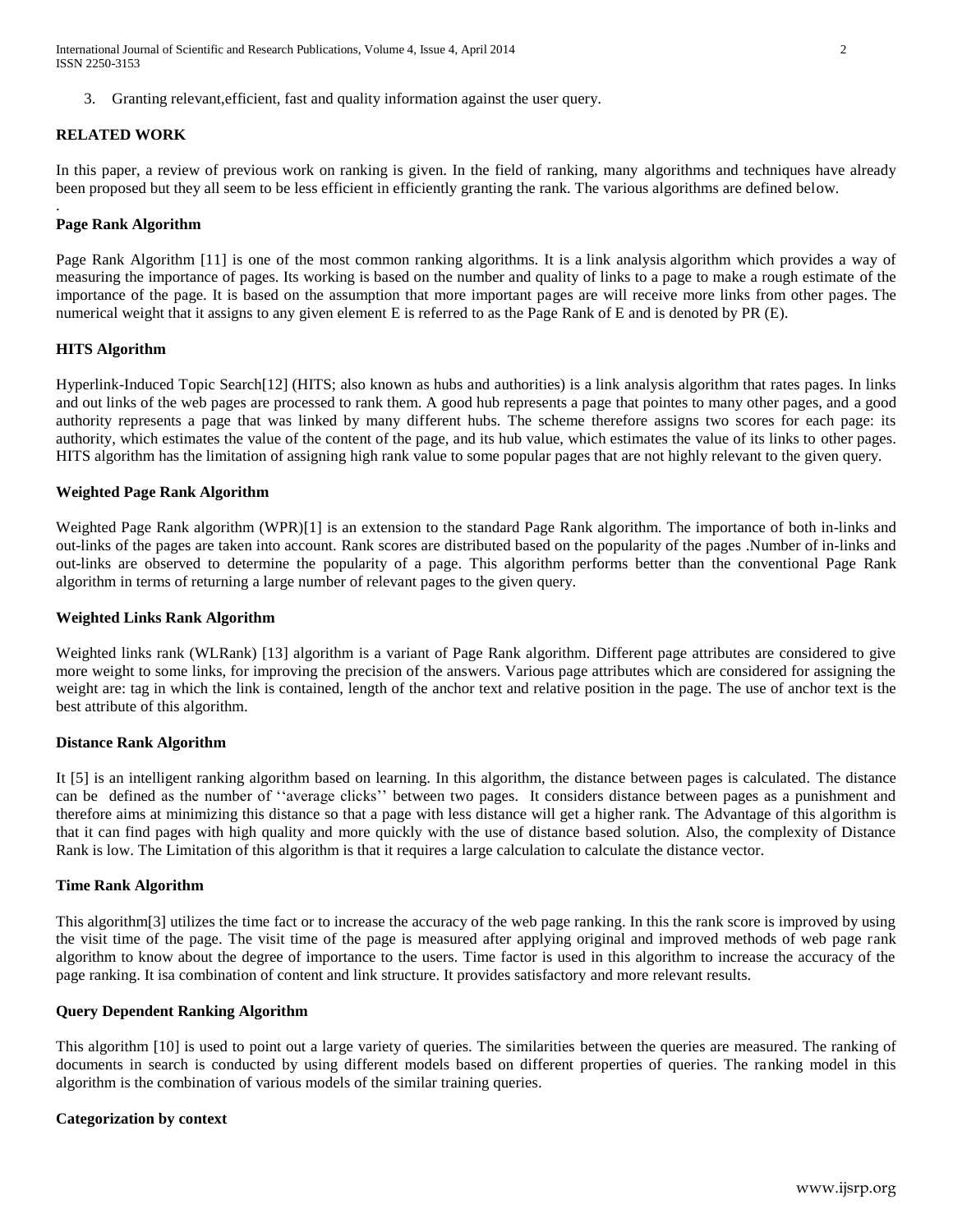3. Granting relevant,efficient, fast and quality information against the user query.

#### **RELATED WORK**

In this paper, a review of previous work on ranking is given. In the field of ranking, many algorithms and techniques have already been proposed but they all seem to be less efficient in efficiently granting the rank. The various algorithms are defined below.

#### **Page Rank Algorithm**

.

Page Rank Algorithm [11] is one of the most common ranking algorithms. It is a link analysis algorithm which provides a way of measuring the importance of pages. Its working is based on the number and quality of links to a page to make a rough estimate of the importance of the page. It is based on the assumption that more important pages are will receive more links from other pages. The numerical weight that it assigns to any given element E is referred to as the Page Rank of E and is denoted by PR (E).

## **HITS Algorithm**

Hyperlink-Induced Topic Search[12] (HITS; also known as hubs and authorities) is a link analysis algorithm that rates pages. In links and out links of the web pages are processed to rank them. A good hub represents a page that pointes to many other pages, and a good authority represents a page that was linked by many different hubs. The scheme therefore assigns two scores for each page: its authority, which estimates the value of the content of the page, and its hub value, which estimates the value of its links to other pages. HITS algorithm has the limitation of assigning high rank value to some popular pages that are not highly relevant to the given query.

#### **Weighted Page Rank Algorithm**

Weighted Page Rank algorithm (WPR)[1] is an extension to the standard Page Rank algorithm. The importance of both in-links and out-links of the pages are taken into account. Rank scores are distributed based on the popularity of the pages .Number of in-links and out-links are observed to determine the popularity of a page. This algorithm performs better than the conventional Page Rank algorithm in terms of returning a large number of relevant pages to the given query.

#### **Weighted Links Rank Algorithm**

Weighted links rank (WLRank) [13] algorithm is a variant of Page Rank algorithm. Different page attributes are considered to give more weight to some links, for improving the precision of the answers. Various page attributes which are considered for assigning the weight are: tag in which the link is contained, length of the anchor text and relative position in the page. The use of anchor text is the best attribute of this algorithm.

#### **Distance Rank Algorithm**

It [5] is an intelligent ranking algorithm based on learning. In this algorithm, the distance between pages is calculated. The distance can be defined as the number of ''average clicks'' between two pages. It considers distance between pages as a punishment and therefore aims at minimizing this distance so that a page with less distance will get a higher rank. The Advantage of this algorithm is that it can find pages with high quality and more quickly with the use of distance based solution. Also, the complexity of Distance Rank is low. The Limitation of this algorithm is that it requires a large calculation to calculate the distance vector.

#### **Time Rank Algorithm**

This algorithm[3] utilizes the time fact or to increase the accuracy of the web page ranking. In this the rank score is improved by using the visit time of the page. The visit time of the page is measured after applying original and improved methods of web page rank algorithm to know about the degree of importance to the users. Time factor is used in this algorithm to increase the accuracy of the page ranking. It isa combination of content and link structure. It provides satisfactory and more relevant results.

#### **Query Dependent Ranking Algorithm**

This algorithm [10] is used to point out a large variety of queries. The similarities between the queries are measured. The ranking of documents in search is conducted by using different models based on different properties of queries. The ranking model in this algorithm is the combination of various models of the similar training queries.

#### **Categorization by context**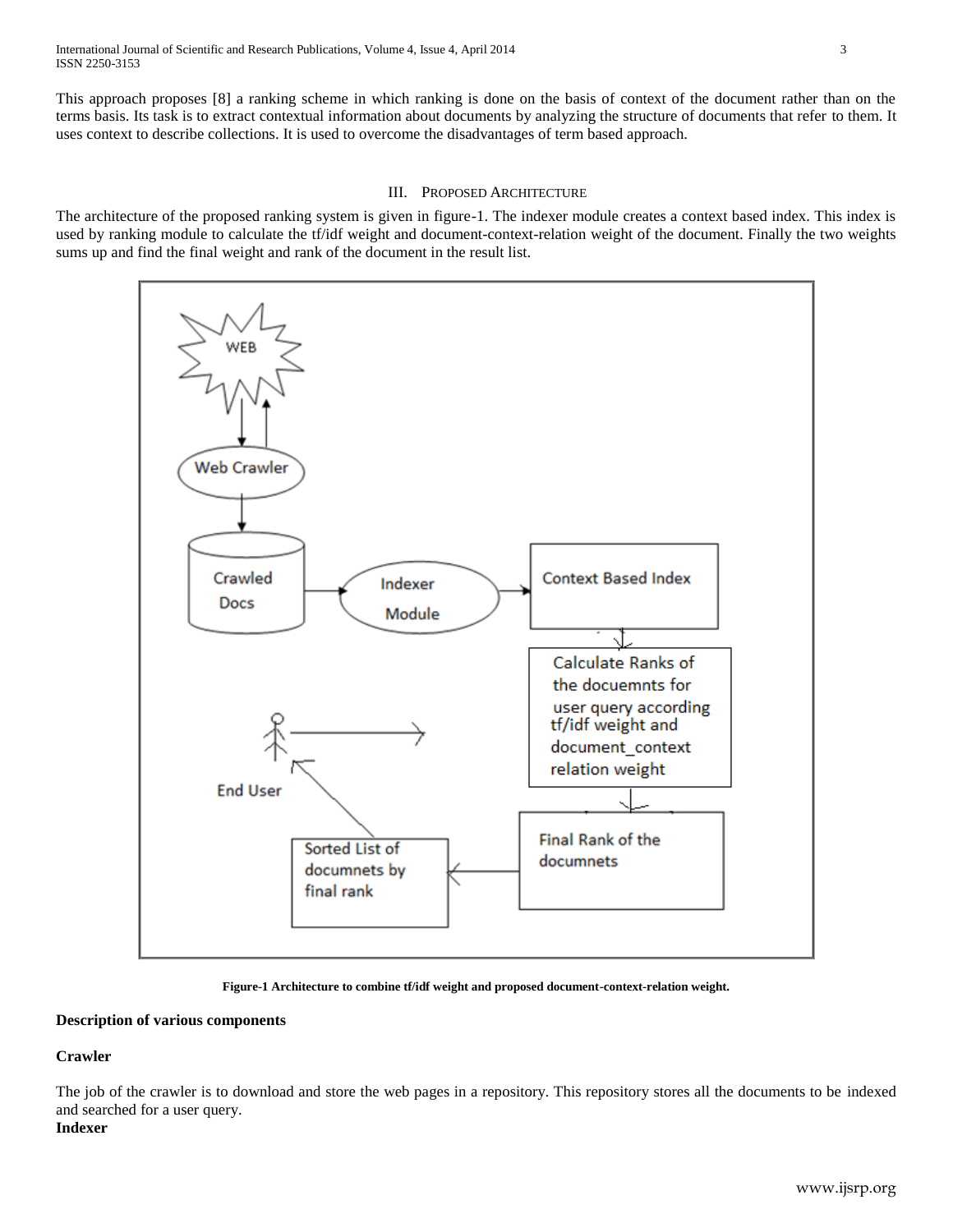This approach proposes [8] a ranking scheme in which ranking is done on the basis of context of the document rather than on the terms basis. Its task is to extract contextual information about documents by analyzing the structure of documents that refer to them. It uses context to describe collections. It is used to overcome the disadvantages of term based approach.

## III. PROPOSED ARCHITECTURE

The architecture of the proposed ranking system is given in figure-1. The indexer module creates a context based index. This index is used by ranking module to calculate the tf/idf weight and document-context-relation weight of the document. Finally the two weights sums up and find the final weight and rank of the document in the result list.



**Figure-1 Architecture to combine tf/idf weight and proposed document-context-relation weight.**

## **Description of various components**

## **Crawler**

The job of the crawler is to download and store the web pages in a repository. This repository stores all the documents to be indexed and searched for a user query. **Indexer**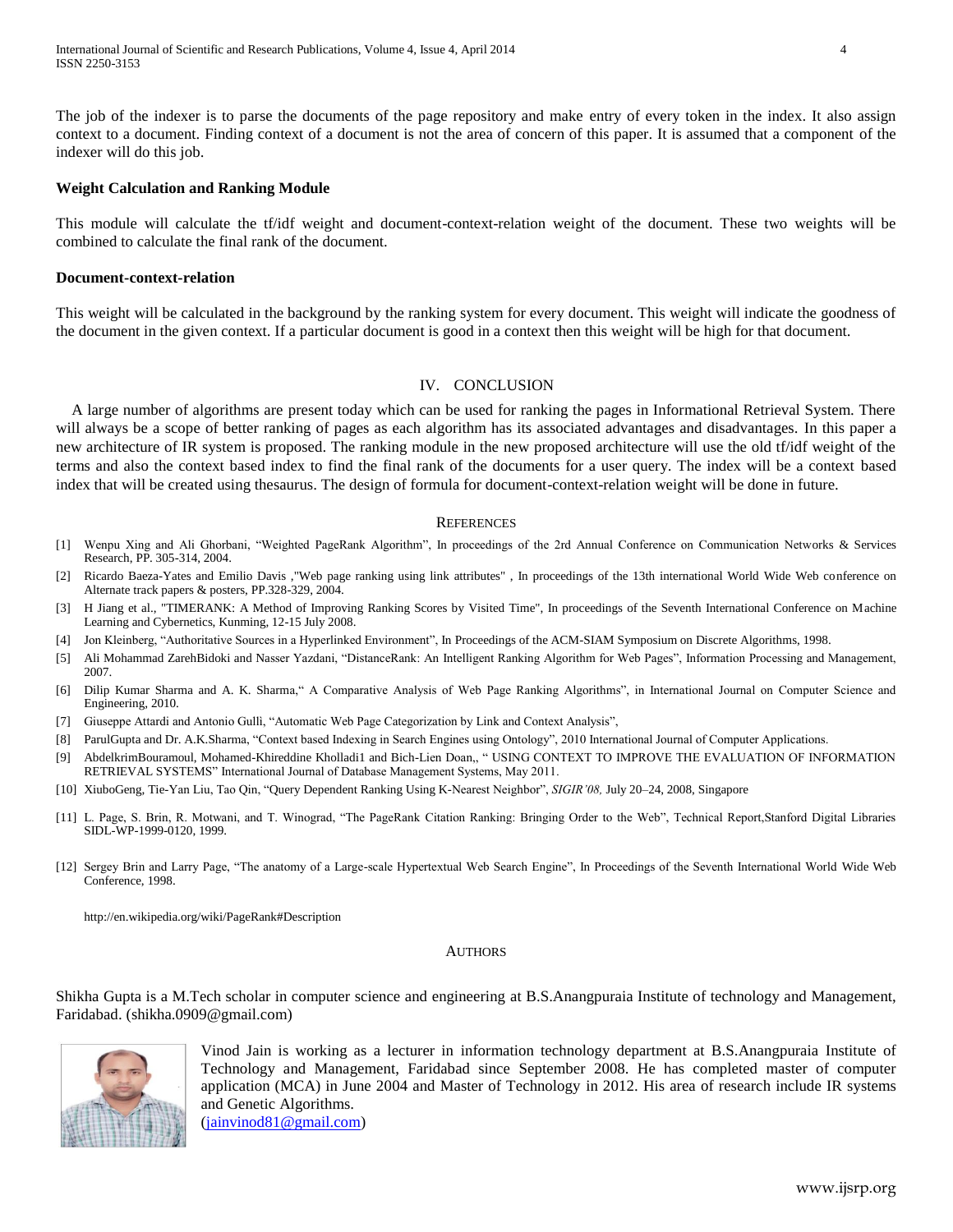The job of the indexer is to parse the documents of the page repository and make entry of every token in the index. It also assign context to a document. Finding context of a document is not the area of concern of this paper. It is assumed that a component of the indexer will do this job.

## **Weight Calculation and Ranking Module**

This module will calculate the tf/idf weight and document-context-relation weight of the document. These two weights will be combined to calculate the final rank of the document.

#### **Document-context-relation**

This weight will be calculated in the background by the ranking system for every document. This weight will indicate the goodness of the document in the given context. If a particular document is good in a context then this weight will be high for that document.

## IV. CONCLUSION

A large number of algorithms are present today which can be used for ranking the pages in Informational Retrieval System. There will always be a scope of better ranking of pages as each algorithm has its associated advantages and disadvantages. In this paper a new architecture of IR system is proposed. The ranking module in the new proposed architecture will use the old tf/idf weight of the terms and also the context based index to find the final rank of the documents for a user query. The index will be a context based index that will be created using thesaurus. The design of formula for document-context-relation weight will be done in future.

#### **REFERENCES**

- [1] Wenpu Xing and Ali Ghorbani, "Weighted PageRank Algorithm", In proceedings of the 2rd Annual Conference on Communication Networks & Services Research, PP. 305-314, 2004.
- [2] Ricardo Baeza-Yates and Emilio Davis ,"Web page ranking using link attributes" , In proceedings of the 13th international World Wide Web conference on Alternate track papers & posters, PP.328-329, 2004.
- [3] H Jiang et al., "TIMERANK: A Method of Improving Ranking Scores by Visited Time", In proceedings of the Seventh International Conference on Machine Learning and Cybernetics, Kunming, 12-15 July 2008.
- [4] Jon Kleinberg, "Authoritative Sources in a Hyperlinked Environment", In Proceedings of the ACM-SIAM Symposium on Discrete Algorithms, 1998.
- [5] Ali Mohammad ZarehBidoki and Nasser Yazdani, "DistanceRank: An Intelligent Ranking Algorithm for Web Pages", Information Processing and Management, 2007.
- [6] Dilip Kumar Sharma and A. K. Sharma," A Comparative Analysis of Web Page Ranking Algorithms", in International Journal on Computer Science and Engineering, 2010.
- [7] Giuseppe Attardi and Antonio Gullì, "Automatic Web Page Categorization by Link and Context Analysis",
- [8] ParulGupta and Dr. A.K.Sharma, "Context based Indexing in Search Engines using Ontology", 2010 International Journal of Computer Applications.
- [9] AbdelkrimBouramoul, Mohamed-Khireddine Kholladi1 and Bich-Lien Doan,, " USING CONTEXT TO IMPROVE THE EVALUATION OF INFORMATION RETRIEVAL SYSTEMS" International Journal of Database Management Systems, May 2011.
- [10] XiuboGeng, Tie-Yan Liu, Tao Qin, "Query Dependent Ranking Using K-Nearest Neighbor", *SIGIR'08,* July 20–24, 2008, Singapore
- [11] L. Page, S. Brin, R. Motwani, and T. Winograd, "The PageRank Citation Ranking: Bringing Order to the Web", Technical Report,Stanford Digital Libraries SIDL-WP-1999-0120, 1999.
- [12] Sergey Brin and Larry Page, "The anatomy of a Large-scale Hypertextual Web Search Engine", In Proceedings of the Seventh International World Wide Web Conference, 1998.

http://en.wikipedia.org/wiki/PageRank#Description

#### AUTHORS

Shikha Gupta is a M.Tech scholar in computer science and engineering at B.S.Anangpuraia Institute of technology and Management, Faridabad. (shikha.0909@gmail.com)



Vinod Jain is working as a lecturer in information technology department at B.S.Anangpuraia Institute of Technology and Management, Faridabad since September 2008. He has completed master of computer application (MCA) in June 2004 and Master of Technology in 2012. His area of research include IR systems and Genetic Algorithms. [\(jainvinod81@gmail.com\)](mailto:jainvinod81@gmail.com)